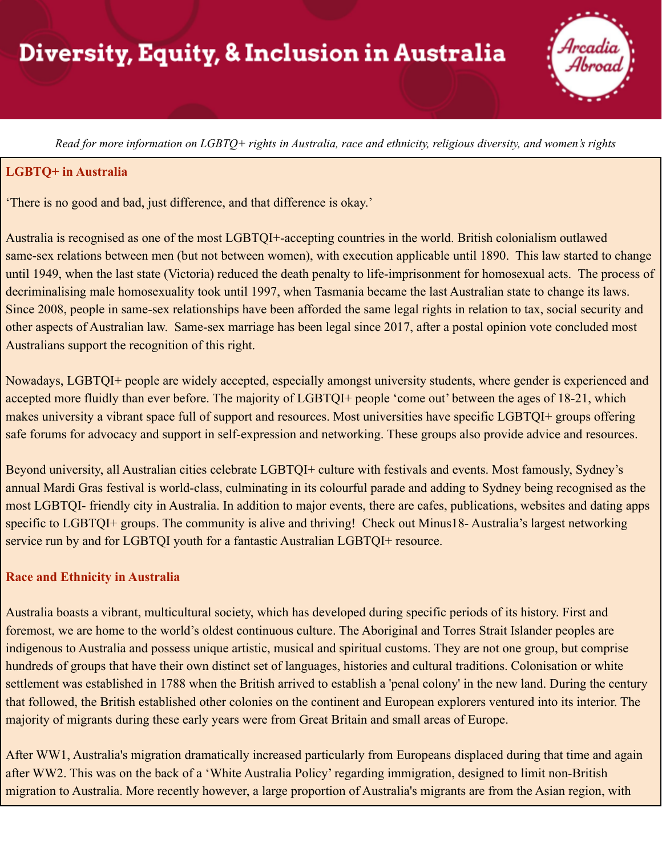

Read for more information on LGBTO+ rights in Australia, race and ethnicity, religious diversity, and women's rights

#### **LGBTQ+ in Australia**

'There is no good and bad, just difference, and that difference is okay.'

Australia is recognised as one of the most LGBTQI+-accepting countries in the world. British colonialism outlawed same-sex relations between men (but not between women), with execution applicable until 1890. This law started to change until 1949, when the last state (Victoria) reduced the death penalty to life-imprisonment for homosexual acts. The process of decriminalising male homosexuality took until 1997, when Tasmania became the last Australian state to change its laws. Since 2008, people in same-sex relationships have been afforded the same legal rights in relation to tax, social security and other aspects of Australian law. Same-sex marriage has been legal since 2017, after a postal opinion vote concluded most Australians support the recognition of this right.

Nowadays, LGBTQI+ people are widely accepted, especially amongst university students, where gender is experienced and accepted more fluidly than ever before. The majority of LGBTQI+ people 'come out' between the ages of 18-21, which makes university a vibrant space full of support and resources. Most universities have specific LGBTQI+ groups offering safe forums for advocacy and support in self-expression and networking. These groups also provide advice and resources.

Beyond university, all Australian cities celebrate LGBTQI+ culture with festivals and events. Most famously, Sydney's annual Mardi Gras festival is world-class, culminating in its colourful parade and adding to Sydney being recognised as the most LGBTQI- friendly city in Australia. In addition to major events, there are cafes, publications, websites and dating apps specific to LGBTQI+ groups. The community is alive and thriving! Check out Minus18- Australia's largest networking service run by and for LGBTQI youth for a fantastic Australian LGBTQI+ resource.

#### **Race and Ethnicity in Australia**

Australia boasts a vibrant, multicultural society, which has developed during specific periods of its history. First and foremost, we are home to the world's oldest continuous culture. The Aboriginal and Torres Strait Islander peoples are indigenous to Australia and possess unique artistic, musical and spiritual customs. They are not one group, but comprise hundreds of groups that have their own distinct set of languages, histories and cultural traditions. Colonisation or white settlement was established in 1788 when the British arrived to establish a 'penal colony' in the new land. During the century that followed, the British established other colonies on the continent and European explorers ventured into its interior. The majority of migrants during these early years were from Great Britain and small areas of Europe.

After WW1, Australia's migration dramatically increased particularly from Europeans displaced during that time and again after WW2. This was on the back of a 'White Australia Policy' regarding immigration, designed to limit non-British migration to Australia. More recently however, a large proportion of Australia's migrants are from the Asian region, with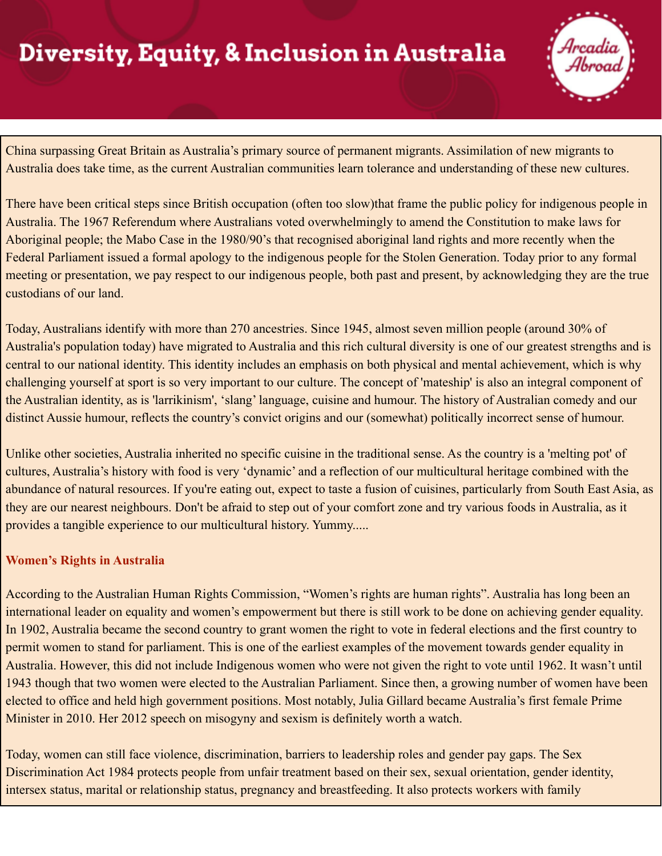

China surpassing Great Britain as Australia's primary source of permanent migrants. Assimilation of new migrants to Australia does take time, as the current Australian communities learn tolerance and understanding of these new cultures.

There have been critical steps since British occupation (often too slow)that frame the public policy for indigenous people in Australia. The 1967 Referendum where Australians voted overwhelmingly to amend the Constitution to make laws for Aboriginal people; the Mabo Case in the 1980/90's that recognised aboriginal land rights and more recently when the Federal Parliament issued a formal apology to the indigenous people for the Stolen Generation. Today prior to any formal meeting or presentation, we pay respect to our indigenous people, both past and present, by acknowledging they are the true custodians of our land.

Today, Australians identify with more than 270 ancestries. Since 1945, almost seven million people (around 30% of Australia's population today) have migrated to Australia and this rich cultural diversity is one of our greatest strengths and is central to our national identity. This identity includes an emphasis on both physical and mental achievement, which is why challenging yourself at sport is so very important to our culture. The concept of 'mateship' is also an integral component of the Australian identity, as is 'larrikinism', 'slang' language, cuisine and humour. The history of Australian comedy and our distinct Aussie humour, reflects the country's convict origins and our (somewhat) politically incorrect sense of humour.

Unlike other societies, Australia inherited no specific cuisine in the traditional sense. As the country is a 'melting pot' of cultures, Australia's history with food is very 'dynamic' and a reflection of our multicultural heritage combined with the abundance of natural resources. If you're eating out, expect to taste a fusion of cuisines, particularly from South East Asia, as they are our nearest neighbours. Don't be afraid to step out of your comfort zone and try various foods in Australia, as it provides a tangible experience to our multicultural history. Yummy.....

### **Women's Rights in Australia**

According to the Australian Human Rights Commission, "Women's rights are human rights". Australia has long been an international leader on equality and women's empowerment but there is still work to be done on achieving gender equality. In 1902, Australia became the second country to grant women the right to vote in federal elections and the first country to permit women to stand for parliament. This is one of the earliest examples of the movement towards gender equality in Australia. However, this did not include Indigenous women who were not given the right to vote until 1962. It wasn't until 1943 though that two women were elected to the Australian Parliament. Since then, a growing number of women have been elected to office and held high government positions. Most notably, Julia Gillard became Australia's first female Prime Minister in 2010. Her 2012 speech on misogyny and sexism is definitely worth a watch.

Today, women can still face violence, discrimination, barriers to leadership roles and gender pay gaps. The Sex Discrimination Act 1984 protects people from unfair treatment based on their sex, sexual orientation, gender identity, intersex status, marital or relationship status, pregnancy and breastfeeding. It also protects workers with family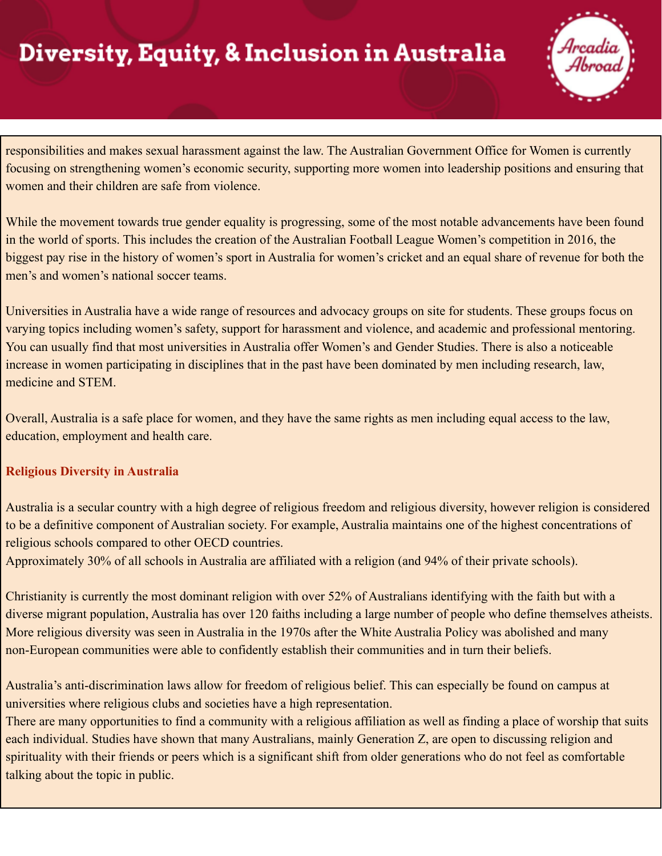

responsibilities and makes sexual harassment against the law. The Australian Government Office for Women is currently focusing on strengthening women's economic security, supporting more women into leadership positions and ensuring that women and their children are safe from violence.

While the movement towards true gender equality is progressing, some of the most notable advancements have been found in the world of sports. This includes the creation of the Australian Football League Women's competition in 2016, the biggest pay rise in the history of women's sport in Australia for women's cricket and an equal share of revenue for both the men's and women's national soccer teams.

Universities in Australia have a wide range of resources and advocacy groups on site for students. These groups focus on varying topics including women's safety, support for harassment and violence, and academic and professional mentoring. You can usually find that most universities in Australia offer Women's and Gender Studies. There is also a noticeable increase in women participating in disciplines that in the past have been dominated by men including research, law, medicine and STEM.

Overall, Australia is a safe place for women, and they have the same rights as men including equal access to the law, education, employment and health care.

### **Religious Diversity in Australia**

Australia is a secular country with a high degree of religious freedom and religious diversity, however religion is considered to be a definitive component of Australian society. For example, Australia maintains one of the highest concentrations of religious schools compared to other OECD countries.

Approximately 30% of all schools in Australia are affiliated with a religion (and 94% of their private schools).

Christianity is currently the most dominant religion with over 52% of Australians identifying with the faith but with a diverse migrant population, Australia has over 120 faiths including a large number of people who define themselves atheists. More religious diversity was seen in Australia in the 1970s after the White Australia Policy was abolished and many non-European communities were able to confidently establish their communities and in turn their beliefs.

Australia's anti-discrimination laws allow for freedom of religious belief. This can especially be found on campus at universities where religious clubs and societies have a high representation.

There are many opportunities to find a community with a religious affiliation as well as finding a place of worship that suits each individual. Studies have shown that many Australians, mainly Generation Z, are open to discussing religion and spirituality with their friends or peers which is a significant shift from older generations who do not feel as comfortable talking about the topic in public.